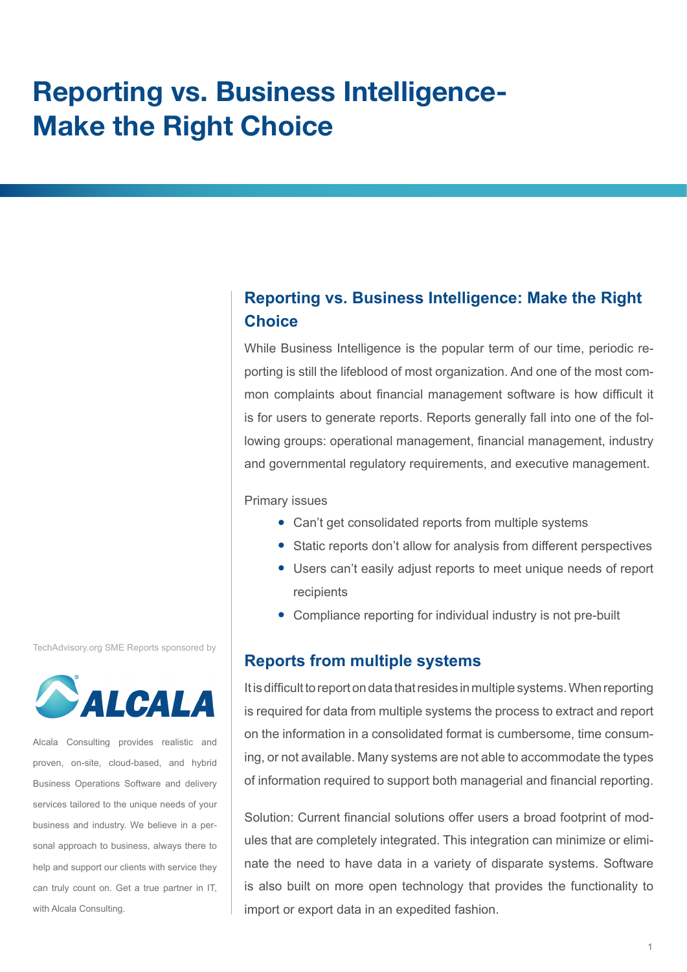# **Reporting vs. Business Intelligence-Make the Right Choice**

# **Reporting vs. Business Intelligence: Make the Right Choice**

While Business Intelligence is the popular term of our time, periodic reporting is still the lifeblood of most organization. And one of the most common complaints about financial management software is how difficult it is for users to generate reports. Reports generally fall into one of the following groups: operational management, financial management, industry and governmental regulatory requirements, and executive management.

Primary issues

- Can't get consolidated reports from multiple systems
- Static reports don't allow for analysis from different perspectives
- Users can't easily adjust reports to meet unique needs of report recipients
- Compliance reporting for individual industry is not pre-built

### **Reports from multiple systems**

It is difficult to report on data that resides in multiple systems. When reporting is required for data from multiple systems the process to extract and report on the information in a consolidated format is cumbersome, time consuming, or not available. Many systems are not able to accommodate the types of information required to support both managerial and financial reporting.

Solution: Current financial solutions offer users a broad footprint of modules that are completely integrated. This integration can minimize or eliminate the need to have data in a variety of disparate systems. Software is also built on more open technology that provides the functionality to import or export data in an expedited fashion.

TechAdvisory.org SME Reports sponsored by



Alcala Consulting provides realistic and proven, on-site, cloud-based, and hybrid Business Operations Software and delivery services tailored to the unique needs of your business and industry. We believe in a personal approach to business, always there to help and support our clients with service they can truly count on. Get a true partner in IT, with Alcala Consulting.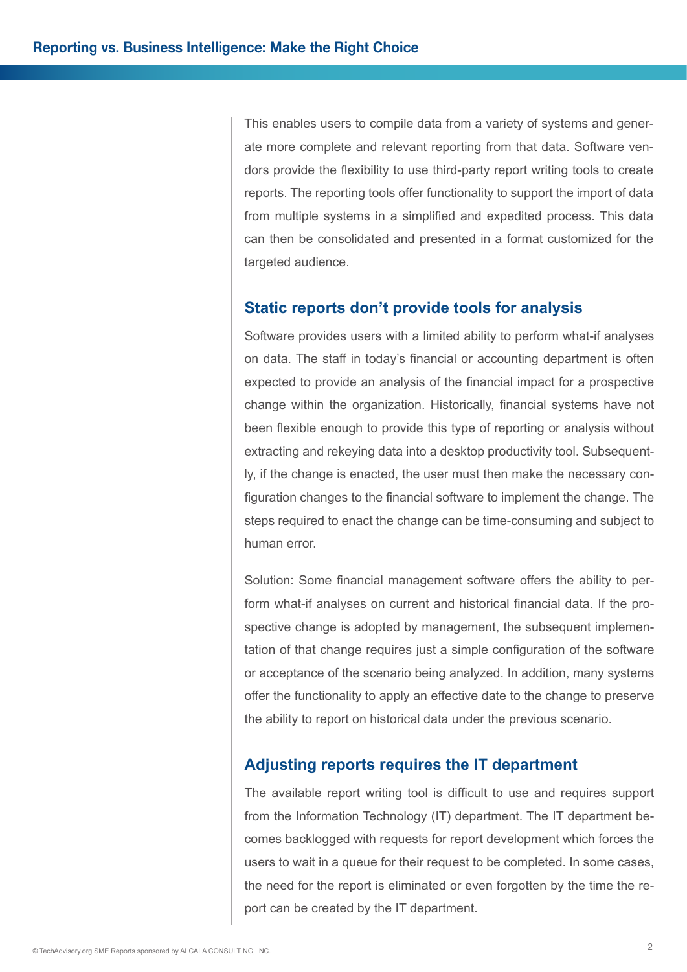This enables users to compile data from a variety of systems and generate more complete and relevant reporting from that data. Software vendors provide the flexibility to use third-party report writing tools to create reports. The reporting tools offer functionality to support the import of data from multiple systems in a simplified and expedited process. This data can then be consolidated and presented in a format customized for the targeted audience.

### **Static reports don't provide tools for analysis**

Software provides users with a limited ability to perform what-if analyses on data. The staff in today's financial or accounting department is often expected to provide an analysis of the financial impact for a prospective change within the organization. Historically, financial systems have not been flexible enough to provide this type of reporting or analysis without extracting and rekeying data into a desktop productivity tool. Subsequently, if the change is enacted, the user must then make the necessary configuration changes to the financial software to implement the change. The steps required to enact the change can be time-consuming and subject to human error.

Solution: Some financial management software offers the ability to perform what-if analyses on current and historical financial data. If the prospective change is adopted by management, the subsequent implementation of that change requires just a simple configuration of the software or acceptance of the scenario being analyzed. In addition, many systems offer the functionality to apply an effective date to the change to preserve the ability to report on historical data under the previous scenario.

## **Adjusting reports requires the IT department**

The available report writing tool is difficult to use and requires support from the Information Technology (IT) department. The IT department becomes backlogged with requests for report development which forces the users to wait in a queue for their request to be completed. In some cases, the need for the report is eliminated or even forgotten by the time the report can be created by the IT department.